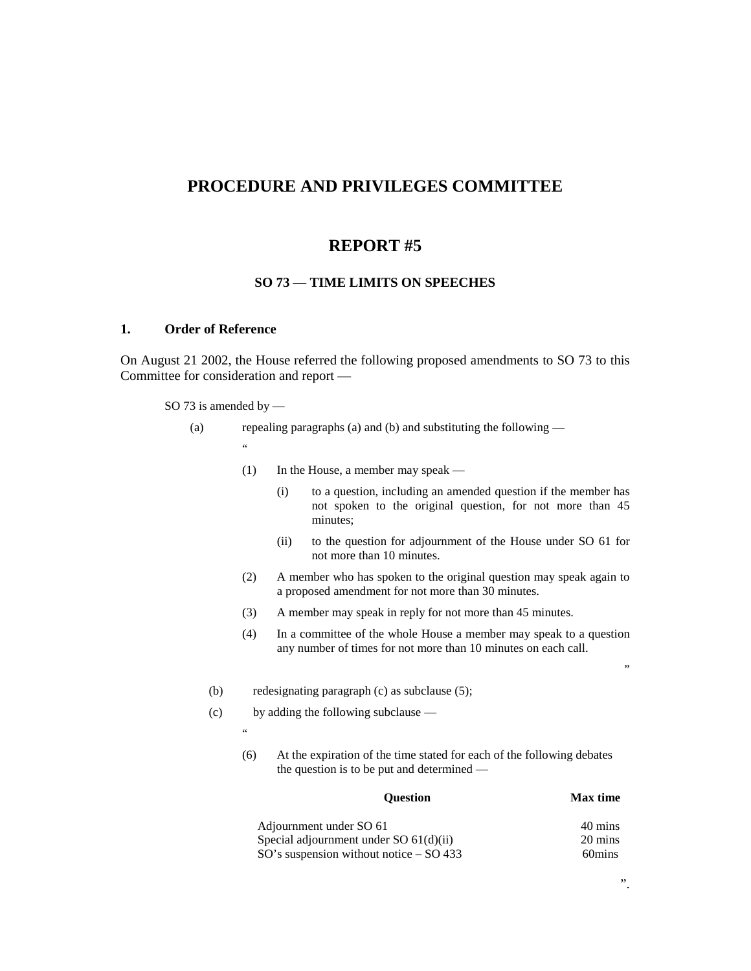## **PROCEDURE AND PRIVILEGES COMMITTEE**

## **REPORT #5**

## **SO 73 — TIME LIMITS ON SPEECHES**

## **1. Order of Reference**

On August 21 2002, the House referred the following proposed amendments to SO 73 to this Committee for consideration and report —

- SO 73 is amended by
	- (a) repealing paragraphs (a) and (b) and substituting the following  $\ddot{\phantom{a}}$ 
		- (1) In the House, a member may speak
			- (i) to a question, including an amended question if the member has not spoken to the original question, for not more than 45 minutes;
			- (ii) to the question for adjournment of the House under SO 61 for not more than 10 minutes.
		- (2) A member who has spoken to the original question may speak again to a proposed amendment for not more than 30 minutes.
		- (3) A member may speak in reply for not more than 45 minutes.
		- (4) In a committee of the whole House a member may speak to a question any number of times for not more than 10 minutes on each call.
		- (b) redesignating paragraph (c) as subclause (5);
		- (c) by adding the following subclause
			- $^{12}$ 
				- (6) At the expiration of the time stated for each of the following debates the question is to be put and determined —

| <b>Ouestion</b>                             | <b>Max</b> time |
|---------------------------------------------|-----------------|
| Adjournment under SO 61                     | 40 mins         |
| Special adjournment under SO 61(d)(ii)      | 20 mins         |
| $SO's$ suspension without notice $-$ SO 433 | 60 mins         |

"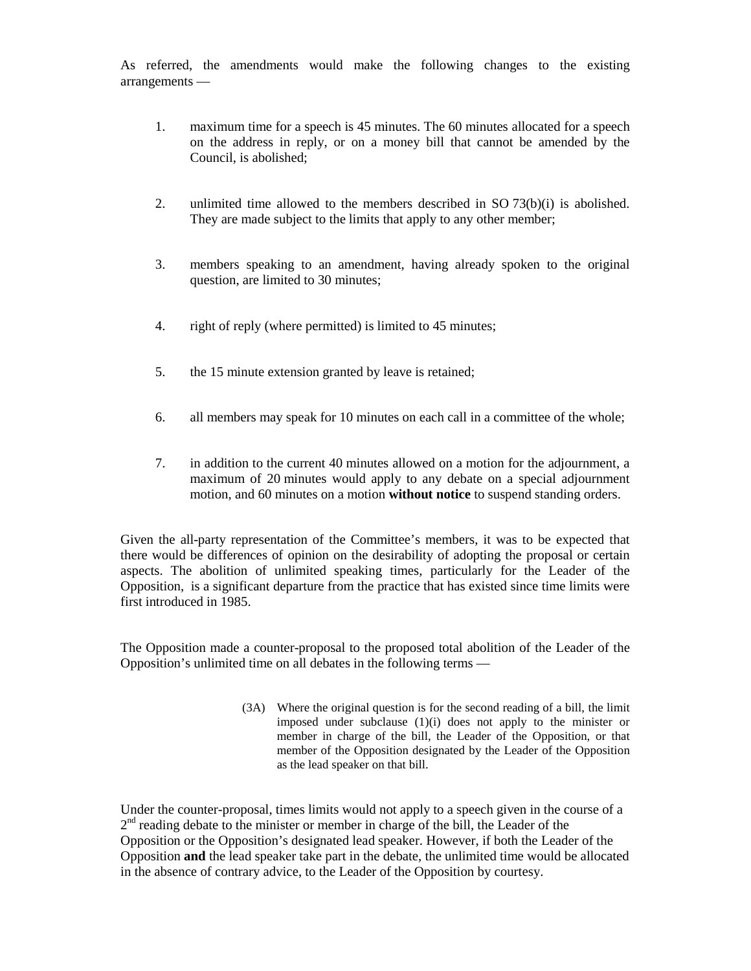As referred, the amendments would make the following changes to the existing arrangements —

- 1. maximum time for a speech is 45 minutes. The 60 minutes allocated for a speech on the address in reply, or on a money bill that cannot be amended by the Council, is abolished;
- 2. unlimited time allowed to the members described in SO 73(b)(i) is abolished. They are made subject to the limits that apply to any other member;
- 3. members speaking to an amendment, having already spoken to the original question, are limited to 30 minutes;
- 4. right of reply (where permitted) is limited to 45 minutes;
- 5. the 15 minute extension granted by leave is retained;
- 6. all members may speak for 10 minutes on each call in a committee of the whole;
- 7. in addition to the current 40 minutes allowed on a motion for the adjournment, a maximum of 20 minutes would apply to any debate on a special adjournment motion, and 60 minutes on a motion **without notice** to suspend standing orders.

Given the all-party representation of the Committee's members, it was to be expected that there would be differences of opinion on the desirability of adopting the proposal or certain aspects. The abolition of unlimited speaking times, particularly for the Leader of the Opposition, is a significant departure from the practice that has existed since time limits were first introduced in 1985.

The Opposition made a counter-proposal to the proposed total abolition of the Leader of the Opposition's unlimited time on all debates in the following terms —

> (3A) Where the original question is for the second reading of a bill, the limit imposed under subclause (1)(i) does not apply to the minister or member in charge of the bill, the Leader of the Opposition, or that member of the Opposition designated by the Leader of the Opposition as the lead speaker on that bill.

Under the counter-proposal, times limits would not apply to a speech given in the course of a  $2<sup>nd</sup>$  reading debate to the minister or member in charge of the bill, the Leader of the Opposition or the Opposition's designated lead speaker. However, if both the Leader of the Opposition **and** the lead speaker take part in the debate, the unlimited time would be allocated in the absence of contrary advice, to the Leader of the Opposition by courtesy.